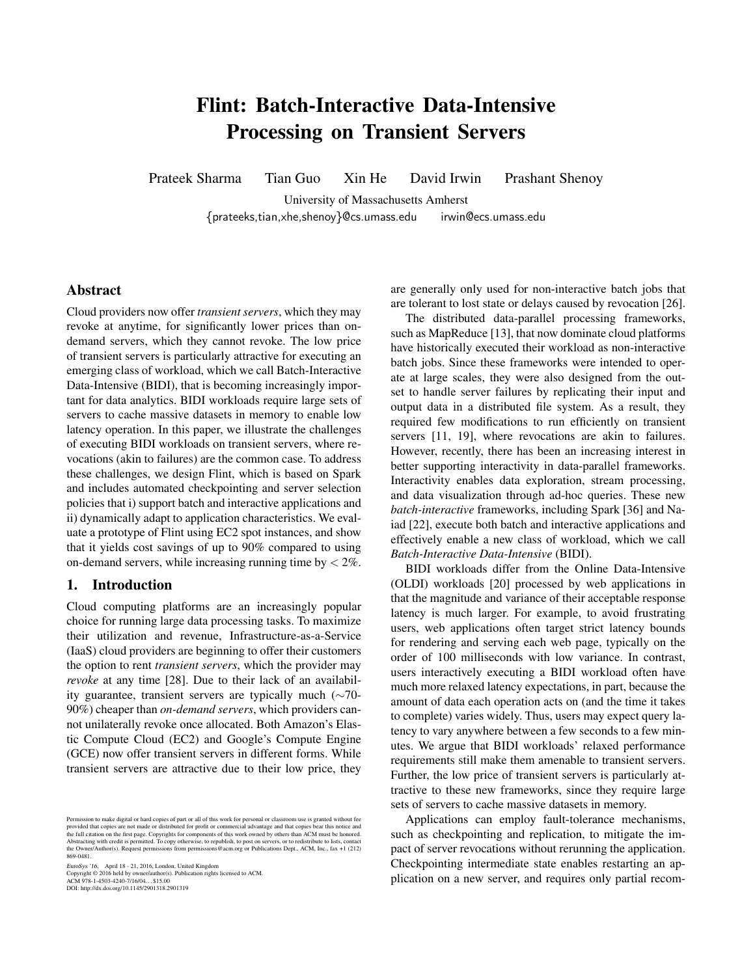# Flint: Batch-Interactive Data-Intensive Processing on Transient Servers

Prateek Sharma Tian Guo Xin He David Irwin Prashant Shenoy

University of Massachusetts Amherst {prateeks,tian,xhe,shenoy}@cs.umass.edu irwin@ecs.umass.edu

# Abstract

Cloud providers now offer *transient servers*, which they may revoke at anytime, for significantly lower prices than ondemand servers, which they cannot revoke. The low price of transient servers is particularly attractive for executing an emerging class of workload, which we call Batch-Interactive Data-Intensive (BIDI), that is becoming increasingly important for data analytics. BIDI workloads require large sets of servers to cache massive datasets in memory to enable low latency operation. In this paper, we illustrate the challenges of executing BIDI workloads on transient servers, where revocations (akin to failures) are the common case. To address these challenges, we design Flint, which is based on Spark and includes automated checkpointing and server selection policies that i) support batch and interactive applications and ii) dynamically adapt to application characteristics. We evaluate a prototype of Flint using EC2 spot instances, and show that it yields cost savings of up to 90% compared to using on-demand servers, while increasing running time by *<* 2%.

## 1. Introduction

Cloud computing platforms are an increasingly popular choice for running large data processing tasks. To maximize their utilization and revenue, Infrastructure-as-a-Service (IaaS) cloud providers are beginning to offer their customers the option to rent *transient servers*, which the provider may *revoke* at any time [\[28\]](#page-14-0). Due to their lack of an availability guarantee, transient servers are typically much  $(\sim 70-$ 90%) cheaper than *on-demand servers*, which providers cannot unilaterally revoke once allocated. Both Amazon's Elastic Compute Cloud (EC2) and Google's Compute Engine (GCE) now offer transient servers in different forms. While transient servers are attractive due to their low price, they

*EuroSys '16,* April 18 - 21, 2016, London, United Kingdom Copyright © 2016 held by owner/author(s). Publication rights licensed to ACM. ACM 978-1-4503-4240-7/16/04. . . \$15.00

DOI: http://dx.doi.org/10.1145/2901318.2901319

are generally only used for non-interactive batch jobs that are tolerant to lost state or delays caused by revocation [\[26\]](#page-14-1).

The distributed data-parallel processing frameworks, such as MapReduce [\[13\]](#page-14-2), that now dominate cloud platforms have historically executed their workload as non-interactive batch jobs. Since these frameworks were intended to operate at large scales, they were also designed from the outset to handle server failures by replicating their input and output data in a distributed file system. As a result, they required few modifications to run efficiently on transient servers [\[11,](#page-14-3) [19\]](#page-14-4), where revocations are akin to failures. However, recently, there has been an increasing interest in better supporting interactivity in data-parallel frameworks. Interactivity enables data exploration, stream processing, and data visualization through ad-hoc queries. These new *batch-interactive* frameworks, including Spark [\[36\]](#page-14-5) and Naiad [\[22\]](#page-14-6), execute both batch and interactive applications and effectively enable a new class of workload, which we call *Batch-Interactive Data-Intensive* (BIDI).

BIDI workloads differ from the Online Data-Intensive (OLDI) workloads [\[20\]](#page-14-7) processed by web applications in that the magnitude and variance of their acceptable response latency is much larger. For example, to avoid frustrating users, web applications often target strict latency bounds for rendering and serving each web page, typically on the order of 100 milliseconds with low variance. In contrast, users interactively executing a BIDI workload often have much more relaxed latency expectations, in part, because the amount of data each operation acts on (and the time it takes to complete) varies widely. Thus, users may expect query latency to vary anywhere between a few seconds to a few minutes. We argue that BIDI workloads' relaxed performance requirements still make them amenable to transient servers. Further, the low price of transient servers is particularly attractive to these new frameworks, since they require large sets of servers to cache massive datasets in memory.

Applications can employ fault-tolerance mechanisms, such as checkpointing and replication, to mitigate the impact of server revocations without rerunning the application. Checkpointing intermediate state enables restarting an application on a new server, and requires only partial recom-

on to make digital or hard copies of part or all of this work for personal or classroom use is granted without fee provided that copies are not made or distributed for profit or commercial advantage and that copies bear this notice and the full citation on the first page. Copyrights for components of this work owned by others than ACM must be honored.<br>Abstracting with credit is permitted. To copy otherwise, to republish, to post on servers, or to redistr 869-0481.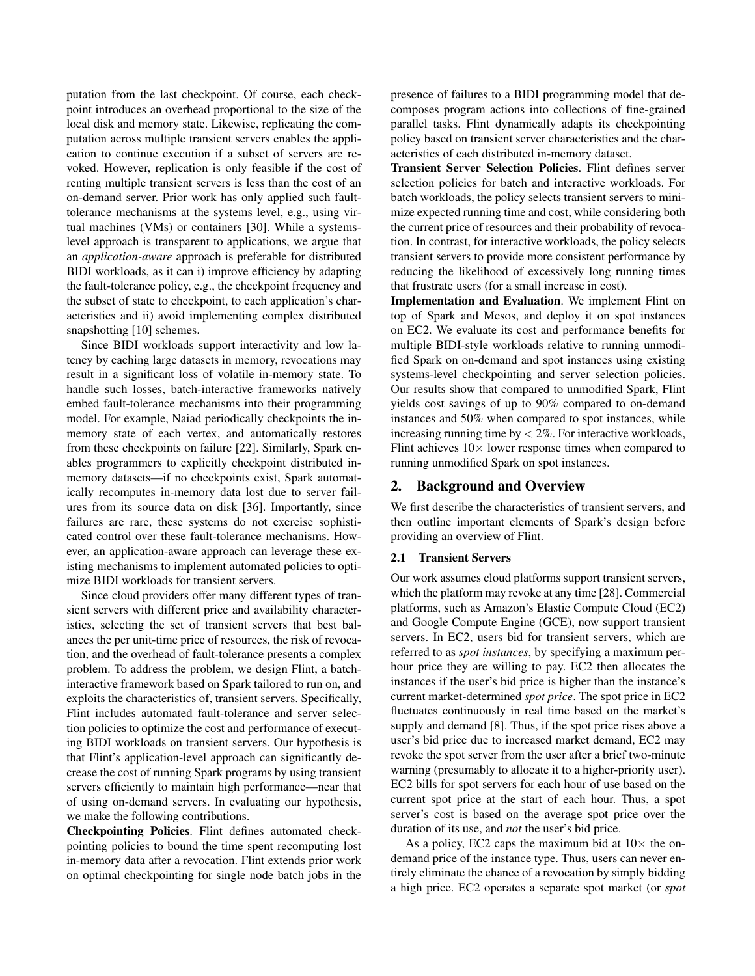putation from the last checkpoint. Of course, each checkpoint introduces an overhead proportional to the size of the local disk and memory state. Likewise, replicating the computation across multiple transient servers enables the application to continue execution if a subset of servers are revoked. However, replication is only feasible if the cost of renting multiple transient servers is less than the cost of an on-demand server. Prior work has only applied such faulttolerance mechanisms at the systems level, e.g., using virtual machines (VMs) or containers [\[30\]](#page-14-8). While a systemslevel approach is transparent to applications, we argue that an *application-aware* approach is preferable for distributed BIDI workloads, as it can i) improve efficiency by adapting the fault-tolerance policy, e.g., the checkpoint frequency and the subset of state to checkpoint, to each application's characteristics and ii) avoid implementing complex distributed snapshotting [\[10\]](#page-14-9) schemes.

Since BIDI workloads support interactivity and low latency by caching large datasets in memory, revocations may result in a significant loss of volatile in-memory state. To handle such losses, batch-interactive frameworks natively embed fault-tolerance mechanisms into their programming model. For example, Naiad periodically checkpoints the inmemory state of each vertex, and automatically restores from these checkpoints on failure [\[22\]](#page-14-6). Similarly, Spark enables programmers to explicitly checkpoint distributed inmemory datasets—if no checkpoints exist, Spark automatically recomputes in-memory data lost due to server failures from its source data on disk [\[36\]](#page-14-5). Importantly, since failures are rare, these systems do not exercise sophisticated control over these fault-tolerance mechanisms. However, an application-aware approach can leverage these existing mechanisms to implement automated policies to optimize BIDI workloads for transient servers.

Since cloud providers offer many different types of transient servers with different price and availability characteristics, selecting the set of transient servers that best balances the per unit-time price of resources, the risk of revocation, and the overhead of fault-tolerance presents a complex problem. To address the problem, we design Flint, a batchinteractive framework based on Spark tailored to run on, and exploits the characteristics of, transient servers. Specifically, Flint includes automated fault-tolerance and server selection policies to optimize the cost and performance of executing BIDI workloads on transient servers. Our hypothesis is that Flint's application-level approach can significantly decrease the cost of running Spark programs by using transient servers efficiently to maintain high performance—near that of using on-demand servers. In evaluating our hypothesis, we make the following contributions.

Checkpointing Policies. Flint defines automated checkpointing policies to bound the time spent recomputing lost in-memory data after a revocation. Flint extends prior work on optimal checkpointing for single node batch jobs in the

presence of failures to a BIDI programming model that decomposes program actions into collections of fine-grained parallel tasks. Flint dynamically adapts its checkpointing policy based on transient server characteristics and the characteristics of each distributed in-memory dataset.

Transient Server Selection Policies. Flint defines server selection policies for batch and interactive workloads. For batch workloads, the policy selects transient servers to minimize expected running time and cost, while considering both the current price of resources and their probability of revocation. In contrast, for interactive workloads, the policy selects transient servers to provide more consistent performance by reducing the likelihood of excessively long running times that frustrate users (for a small increase in cost).

Implementation and Evaluation. We implement Flint on top of Spark and Mesos, and deploy it on spot instances on EC2. We evaluate its cost and performance benefits for multiple BIDI-style workloads relative to running unmodified Spark on on-demand and spot instances using existing systems-level checkpointing and server selection policies. Our results show that compared to unmodified Spark, Flint yields cost savings of up to 90% compared to on-demand instances and 50% when compared to spot instances, while increasing running time by *<* 2%. For interactive workloads, Flint achieves  $10 \times$  lower response times when compared to running unmodified Spark on spot instances.

# 2. Background and Overview

We first describe the characteristics of transient servers, and then outline important elements of Spark's design before providing an overview of Flint.

## 2.1 Transient Servers

Our work assumes cloud platforms support transient servers, which the platform may revoke at any time [\[28\]](#page-14-0). Commercial platforms, such as Amazon's Elastic Compute Cloud (EC2) and Google Compute Engine (GCE), now support transient servers. In EC2, users bid for transient servers, which are referred to as *spot instances*, by specifying a maximum perhour price they are willing to pay. EC2 then allocates the instances if the user's bid price is higher than the instance's current market-determined *spot price*. The spot price in EC2 fluctuates continuously in real time based on the market's supply and demand [\[8\]](#page-14-10). Thus, if the spot price rises above a user's bid price due to increased market demand, EC2 may revoke the spot server from the user after a brief two-minute warning (presumably to allocate it to a higher-priority user). EC2 bills for spot servers for each hour of use based on the current spot price at the start of each hour. Thus, a spot server's cost is based on the average spot price over the duration of its use, and *not* the user's bid price.

As a policy, EC2 caps the maximum bid at  $10\times$  the ondemand price of the instance type. Thus, users can never entirely eliminate the chance of a revocation by simply bidding a high price. EC2 operates a separate spot market (or *spot*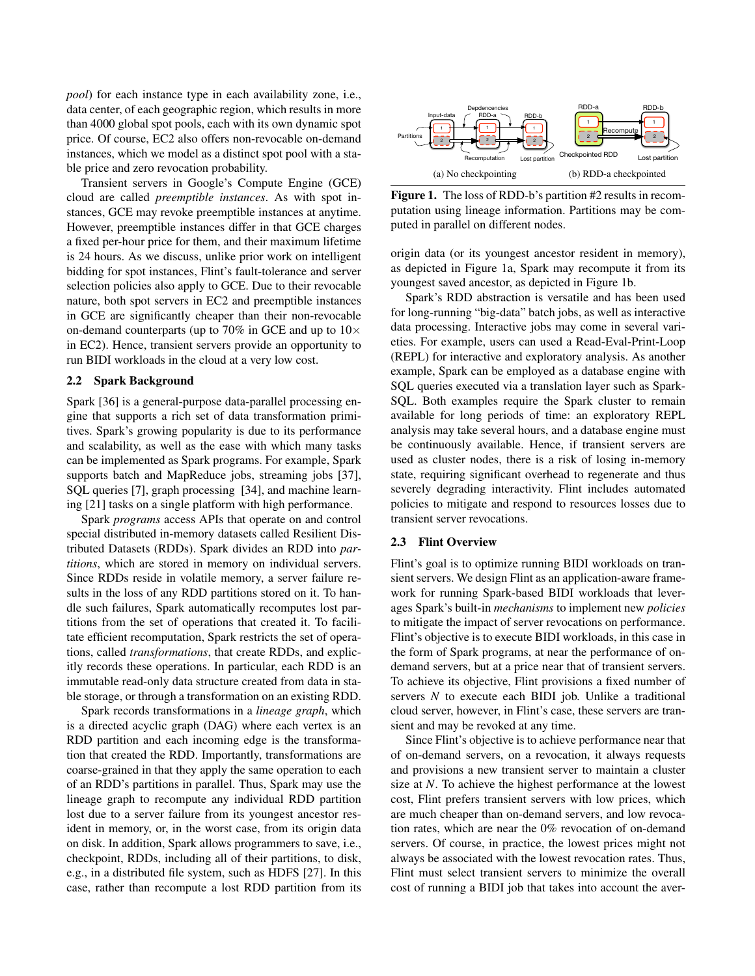*pool*) for each instance type in each availability zone, i.e., data center, of each geographic region, which results in more than 4000 global spot pools, each with its own dynamic spot price. Of course, EC2 also offers non-revocable on-demand instances, which we model as a distinct spot pool with a stable price and zero revocation probability.

Transient servers in Google's Compute Engine (GCE) cloud are called *preemptible instances*. As with spot instances, GCE may revoke preemptible instances at anytime. However, preemptible instances differ in that GCE charges a fixed per-hour price for them, and their maximum lifetime is 24 hours. As we discuss, unlike prior work on intelligent bidding for spot instances, Flint's fault-tolerance and server selection policies also apply to GCE. Due to their revocable nature, both spot servers in EC2 and preemptible instances in GCE are significantly cheaper than their non-revocable on-demand counterparts (up to 70% in GCE and up to  $10\times$ in EC2). Hence, transient servers provide an opportunity to run BIDI workloads in the cloud at a very low cost.

## 2.2 Spark Background

Spark [\[36\]](#page-14-5) is a general-purpose data-parallel processing engine that supports a rich set of data transformation primitives. Spark's growing popularity is due to its performance and scalability, as well as the ease with which many tasks can be implemented as Spark programs. For example, Spark supports batch and MapReduce jobs, streaming jobs [\[37\]](#page-14-11), SQL queries [\[7\]](#page-13-0), graph processing [\[34\]](#page-14-12), and machine learning [\[21\]](#page-14-13) tasks on a single platform with high performance.

Spark *programs* access APIs that operate on and control special distributed in-memory datasets called Resilient Distributed Datasets (RDDs). Spark divides an RDD into *partitions*, which are stored in memory on individual servers. Since RDDs reside in volatile memory, a server failure results in the loss of any RDD partitions stored on it. To handle such failures, Spark automatically recomputes lost partitions from the set of operations that created it. To facilitate efficient recomputation, Spark restricts the set of operations, called *transformations*, that create RDDs, and explicitly records these operations. In particular, each RDD is an immutable read-only data structure created from data in stable storage, or through a transformation on an existing RDD.

Spark records transformations in a *lineage graph*, which is a directed acyclic graph (DAG) where each vertex is an RDD partition and each incoming edge is the transformation that created the RDD. Importantly, transformations are coarse-grained in that they apply the same operation to each of an RDD's partitions in parallel. Thus, Spark may use the lineage graph to recompute any individual RDD partition lost due to a server failure from its youngest ancestor resident in memory, or, in the worst case, from its origin data on disk. In addition, Spark allows programmers to save, i.e., checkpoint, RDDs, including all of their partitions, to disk, e.g., in a distributed file system, such as HDFS [\[27\]](#page-14-14). In this case, rather than recompute a lost RDD partition from its

<span id="page-2-0"></span>

<span id="page-2-1"></span>Figure 1. The loss of RDD-b's partition #2 results in recomputation using lineage information. Partitions may be computed in parallel on different nodes.

origin data (or its youngest ancestor resident in memory), as depicted in Figure [1a,](#page-2-0) Spark may recompute it from its youngest saved ancestor, as depicted in Figure [1b.](#page-2-1)

Spark's RDD abstraction is versatile and has been used for long-running "big-data" batch jobs, as well as interactive data processing. Interactive jobs may come in several varieties. For example, users can used a Read-Eval-Print-Loop (REPL) for interactive and exploratory analysis. As another example, Spark can be employed as a database engine with SQL queries executed via a translation layer such as Spark-SQL. Both examples require the Spark cluster to remain available for long periods of time: an exploratory REPL analysis may take several hours, and a database engine must be continuously available. Hence, if transient servers are used as cluster nodes, there is a risk of losing in-memory state, requiring significant overhead to regenerate and thus severely degrading interactivity. Flint includes automated policies to mitigate and respond to resources losses due to transient server revocations.

## 2.3 Flint Overview

Flint's goal is to optimize running BIDI workloads on transient servers. We design Flint as an application-aware framework for running Spark-based BIDI workloads that leverages Spark's built-in *mechanisms* to implement new *policies* to mitigate the impact of server revocations on performance. Flint's objective is to execute BIDI workloads, in this case in the form of Spark programs, at near the performance of ondemand servers, but at a price near that of transient servers. To achieve its objective, Flint provisions a fixed number of servers *N* to execute each BIDI job. Unlike a traditional cloud server, however, in Flint's case, these servers are transient and may be revoked at any time.

Since Flint's objective is to achieve performance near that of on-demand servers, on a revocation, it always requests and provisions a new transient server to maintain a cluster size at *N*. To achieve the highest performance at the lowest cost, Flint prefers transient servers with low prices, which are much cheaper than on-demand servers, and low revocation rates, which are near the 0% revocation of on-demand servers. Of course, in practice, the lowest prices might not always be associated with the lowest revocation rates. Thus, Flint must select transient servers to minimize the overall cost of running a BIDI job that takes into account the aver-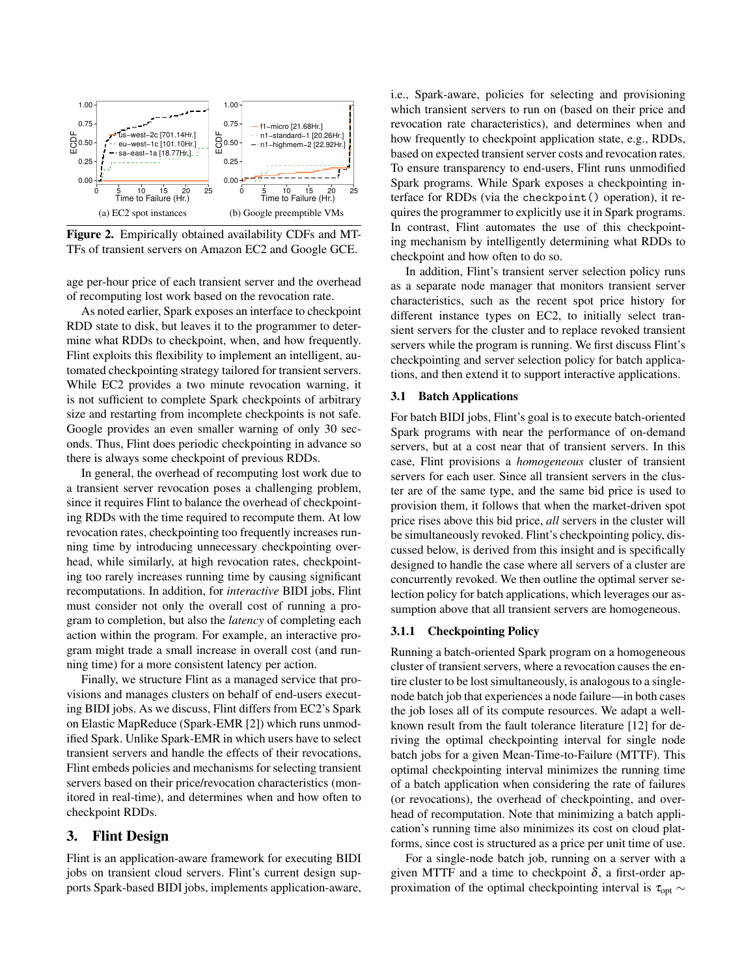

<span id="page-3-0"></span>Figure 2. Empirically obtained availability CDFs and MT-TFs of transient servers on Amazon EC2 and Google GCE.

age per-hour price of each transient server and the overhead of recomputing lost work based on the revocation rate.

As noted earlier, Spark exposes an interface to checkpoint RDD state to disk, but leaves it to the programmer to determine what RDDs to checkpoint, when, and how frequently. Flint exploits this flexibility to implement an intelligent, automated checkpointing strategy tailored for transient servers. While EC2 provides a two minute revocation warning, it is not sufficient to complete Spark checkpoints of arbitrary size and restarting from incomplete checkpoints is not safe. Google provides an even smaller warning of only 30 seconds. Thus, Flint does periodic checkpointing in advance so there is always some checkpoint of previous RDDs.

In general, the overhead of recomputing lost work due to a transient server revocation poses a challenging problem, since it requires Flint to balance the overhead of checkpointing RDDs with the time required to recompute them. At low revocation rates, checkpointing too frequently increases running time by introducing unnecessary checkpointing overhead, while similarly, at high revocation rates, checkpointing too rarely increases running time by causing significant recomputations. In addition, for *interactive* BIDI jobs, Flint must consider not only the overall cost of running a program to completion, but also the *latency* of completing each action within the program. For example, an interactive program might trade a small increase in overall cost (and running time) for a more consistent latency per action.

Finally, we structure Flint as a managed service that provisions and manages clusters on behalf of end-users executing BIDI jobs. As we discuss, Flint differs from EC2's Spark on Elastic MapReduce (Spark-EMR [\[2\]](#page-13-1)) which runs unmodified Spark. Unlike Spark-EMR in which users have to select transient servers and handle the effects of their revocations, Flint embeds policies and mechanisms for selecting transient servers based on their price/revocation characteristics (monitored in real-time), and determines when and how often to checkpoint RDDs.

# 3. Flint Design

Flint is an application-aware framework for executing BIDI jobs on transient cloud servers. Flint's current design supports Spark-based BIDI jobs, implements application-aware,

i.e., Spark-aware, policies for selecting and provisioning which transient servers to run on (based on their price and revocation rate characteristics), and determines when and how frequently to checkpoint application state, e.g., RDDs, based on expected transient server costs and revocation rates. To ensure transparency to end-users, Flint runs unmodified Spark programs. While Spark exposes a checkpointing interface for RDDs (via the checkpoint() operation), it requires the programmer to explicitly use it in Spark programs. In contrast, Flint automates the use of this checkpointing mechanism by intelligently determining what RDDs to checkpoint and how often to do so.

In addition, Flint's transient server selection policy runs as a separate node manager that monitors transient server characteristics, such as the recent spot price history for different instance types on EC2, to initially select transient servers for the cluster and to replace revoked transient servers while the program is running. We first discuss Flint's checkpointing and server selection policy for batch applications, and then extend it to support interactive applications.

#### 3.1 Batch Applications

For batch BIDI jobs, Flint's goal is to execute batch-oriented Spark programs with near the performance of on-demand servers, but at a cost near that of transient servers. In this case, Flint provisions a *homogeneous* cluster of transient servers for each user. Since all transient servers in the cluster are of the same type, and the same bid price is used to provision them, it follows that when the market-driven spot price rises above this bid price, *all* servers in the cluster will be simultaneously revoked. Flint's checkpointing policy, discussed below, is derived from this insight and is specifically designed to handle the case where all servers of a cluster are concurrently revoked. We then outline the optimal server selection policy for batch applications, which leverages our assumption above that all transient servers are homogeneous.

## 3.1.1 Checkpointing Policy

Running a batch-oriented Spark program on a homogeneous cluster of transient servers, where a revocation causes the entire cluster to be lost simultaneously, is analogous to a singlenode batch job that experiences a node failure—in both cases the job loses all of its compute resources. We adapt a wellknown result from the fault tolerance literature [\[12\]](#page-14-15) for deriving the optimal checkpointing interval for single node batch jobs for a given Mean-Time-to-Failure (MTTF). This optimal checkpointing interval minimizes the running time of a batch application when considering the rate of failures (or revocations), the overhead of checkpointing, and overhead of recomputation. Note that minimizing a batch application's running time also minimizes its cost on cloud platforms, since cost is structured as a price per unit time of use.

For a single-node batch job, running on a server with a given MTTF and a time to checkpoint  $\delta$ , a first-order approximation of the optimal checkpointing interval is  $\tau_{\text{opt}} \sim$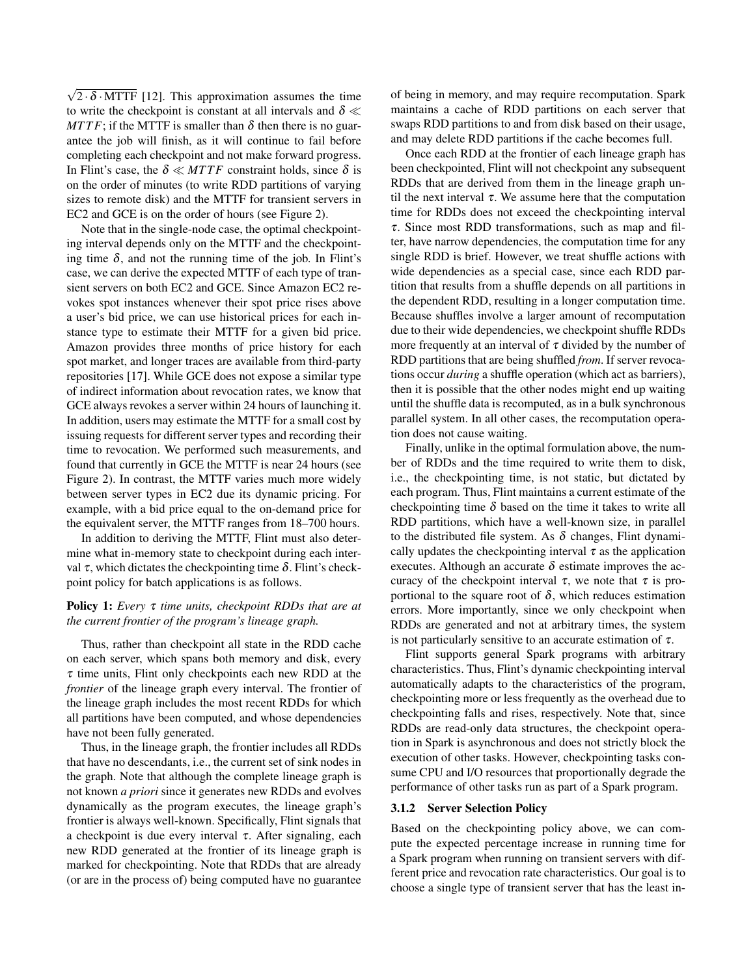$\sqrt{2 \cdot \delta} \cdot \text{MTTF}$  [\[12\]](#page-14-15). This approximation assumes the time to write the checkpoint is constant at all intervals and  $\delta \ll$ *MTTF*; if the MTTF is smaller than  $\delta$  then there is no guarantee the job will finish, as it will continue to fail before completing each checkpoint and not make forward progress. In Flint's case, the  $\delta \ll MTTF$  constraint holds, since  $\delta$  is on the order of minutes (to write RDD partitions of varying sizes to remote disk) and the MTTF for transient servers in EC2 and GCE is on the order of hours (see Figure [2\)](#page-3-0).

Note that in the single-node case, the optimal checkpointing interval depends only on the MTTF and the checkpointing time  $\delta$ , and not the running time of the job. In Flint's case, we can derive the expected MTTF of each type of transient servers on both EC2 and GCE. Since Amazon EC2 revokes spot instances whenever their spot price rises above a user's bid price, we can use historical prices for each instance type to estimate their MTTF for a given bid price. Amazon provides three months of price history for each spot market, and longer traces are available from third-party repositories [\[17\]](#page-14-16). While GCE does not expose a similar type of indirect information about revocation rates, we know that GCE always revokes a server within 24 hours of launching it. In addition, users may estimate the MTTF for a small cost by issuing requests for different server types and recording their time to revocation. We performed such measurements, and found that currently in GCE the MTTF is near 24 hours (see Figure [2\)](#page-3-0). In contrast, the MTTF varies much more widely between server types in EC2 due its dynamic pricing. For example, with a bid price equal to the on-demand price for the equivalent server, the MTTF ranges from 18–700 hours.

In addition to deriving the MTTF, Flint must also determine what in-memory state to checkpoint during each interval  $\tau$ , which dictates the checkpointing time  $\delta$ . Flint's checkpoint policy for batch applications is as follows.

## Policy 1: *Every* t *time units, checkpoint RDDs that are at the current frontier of the program's lineage graph.*

Thus, rather than checkpoint all state in the RDD cache on each server, which spans both memory and disk, every  $\tau$  time units, Flint only checkpoints each new RDD at the *frontier* of the lineage graph every interval. The frontier of the lineage graph includes the most recent RDDs for which all partitions have been computed, and whose dependencies have not been fully generated.

Thus, in the lineage graph, the frontier includes all RDDs that have no descendants, i.e., the current set of sink nodes in the graph. Note that although the complete lineage graph is not known *a priori* since it generates new RDDs and evolves dynamically as the program executes, the lineage graph's frontier is always well-known. Specifically, Flint signals that a checkpoint is due every interval  $\tau$ . After signaling, each new RDD generated at the frontier of its lineage graph is marked for checkpointing. Note that RDDs that are already (or are in the process of) being computed have no guarantee

of being in memory, and may require recomputation. Spark maintains a cache of RDD partitions on each server that swaps RDD partitions to and from disk based on their usage, and may delete RDD partitions if the cache becomes full.

Once each RDD at the frontier of each lineage graph has been checkpointed, Flint will not checkpoint any subsequent RDDs that are derived from them in the lineage graph until the next interval  $\tau$ . We assume here that the computation time for RDDs does not exceed the checkpointing interval  $\tau$ . Since most RDD transformations, such as map and filter, have narrow dependencies, the computation time for any single RDD is brief. However, we treat shuffle actions with wide dependencies as a special case, since each RDD partition that results from a shuffle depends on all partitions in the dependent RDD, resulting in a longer computation time. Because shuffles involve a larger amount of recomputation due to their wide dependencies, we checkpoint shuffle RDDs more frequently at an interval of  $\tau$  divided by the number of RDD partitions that are being shuffled *from*. If server revocations occur *during* a shuffle operation (which act as barriers), then it is possible that the other nodes might end up waiting until the shuffle data is recomputed, as in a bulk synchronous parallel system. In all other cases, the recomputation operation does not cause waiting.

Finally, unlike in the optimal formulation above, the number of RDDs and the time required to write them to disk, i.e., the checkpointing time, is not static, but dictated by each program. Thus, Flint maintains a current estimate of the checkpointing time  $\delta$  based on the time it takes to write all RDD partitions, which have a well-known size, in parallel to the distributed file system. As  $\delta$  changes, Flint dynamically updates the checkpointing interval  $\tau$  as the application executes. Although an accurate  $\delta$  estimate improves the accuracy of the checkpoint interval  $\tau$ , we note that  $\tau$  is proportional to the square root of  $\delta$ , which reduces estimation errors. More importantly, since we only checkpoint when RDDs are generated and not at arbitrary times, the system is not particularly sensitive to an accurate estimation of  $\tau$ .

Flint supports general Spark programs with arbitrary characteristics. Thus, Flint's dynamic checkpointing interval automatically adapts to the characteristics of the program, checkpointing more or less frequently as the overhead due to checkpointing falls and rises, respectively. Note that, since RDDs are read-only data structures, the checkpoint operation in Spark is asynchronous and does not strictly block the execution of other tasks. However, checkpointing tasks consume CPU and I/O resources that proportionally degrade the performance of other tasks run as part of a Spark program.

## 3.1.2 Server Selection Policy

Based on the checkpointing policy above, we can compute the expected percentage increase in running time for a Spark program when running on transient servers with different price and revocation rate characteristics. Our goal is to choose a single type of transient server that has the least in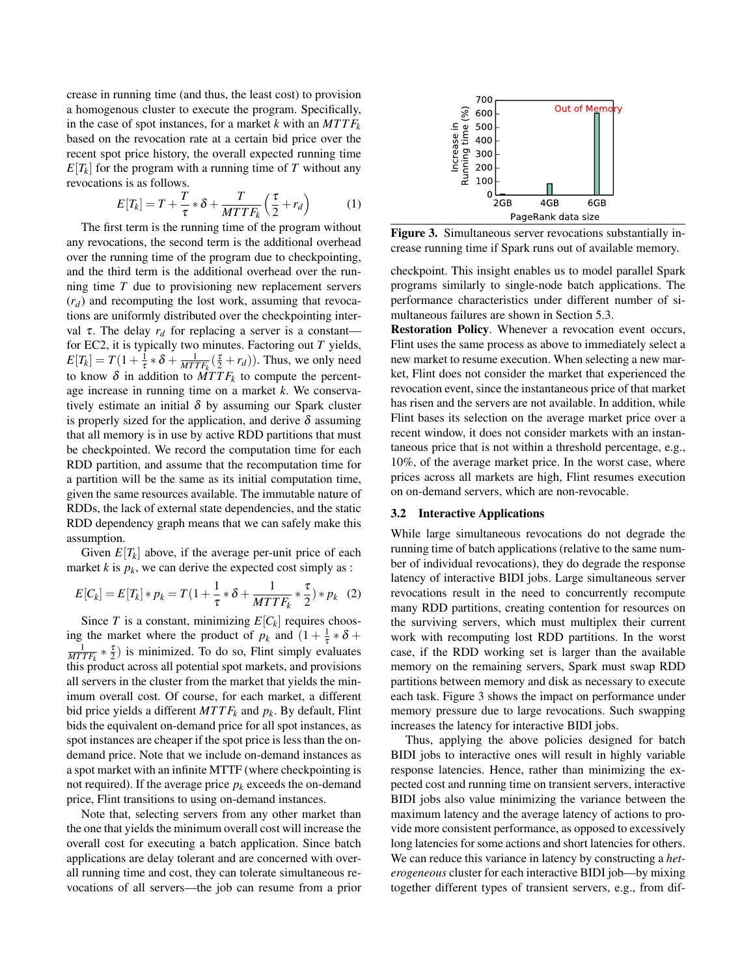crease in running time (and thus, the least cost) to provision a homogenous cluster to execute the program. Specifically, in the case of spot instances, for a market  $k$  with an  $MTTF_k$ based on the revocation rate at a certain bid price over the recent spot price history, the overall expected running time  $E[T_k]$  for the program with a running time of *T* without any revocations is as follows.

<span id="page-5-1"></span>
$$
E[T_k] = T + \frac{T}{\tau} * \delta + \frac{T}{MTTF_k} \left(\frac{\tau}{2} + r_d\right) \tag{1}
$$

The first term is the running time of the program without any revocations, the second term is the additional overhead over the running time of the program due to checkpointing, and the third term is the additional overhead over the running time *T* due to provisioning new replacement servers  $(r_d)$  and recomputing the lost work, assuming that revocations are uniformly distributed over the checkpointing interval  $\tau$ . The delay  $r_d$  for replacing a server is a constant for EC2, it is typically two minutes. Factoring out *T* yields,  $E[T_k] = T(1 + \frac{1}{\tau} * \delta + \frac{1}{MTTF_k}(\frac{\tau}{2} + r_d))$ . Thus, we only need to know  $\delta$  in addition to  $\hat{MTTF_k}$  to compute the percentage increase in running time on a market *k*. We conservatively estimate an initial  $\delta$  by assuming our Spark cluster is properly sized for the application, and derive  $\delta$  assuming that all memory is in use by active RDD partitions that must be checkpointed. We record the computation time for each RDD partition, and assume that the recomputation time for a partition will be the same as its initial computation time, given the same resources available. The immutable nature of RDDs, the lack of external state dependencies, and the static RDD dependency graph means that we can safely make this assumption.

Given  $E[T_k]$  above, if the average per-unit price of each market  $k$  is  $p_k$ , we can derive the expected cost simply as :

<span id="page-5-2"></span>
$$
E[C_k] = E[T_k] * p_k = T(1 + \frac{1}{\tau} * \delta + \frac{1}{MTTF_k} * \frac{\tau}{2}) * p_k \quad (2)
$$

Since *T* is a constant, minimizing  $E[C_k]$  requires choosing the market where the product of  $p_k$  and  $(1 + \frac{1}{\tau} * \delta + \frac{1}{MTTF_k} * \frac{\tau}{2})$  is minimized. To do so, Flint simply evaluates this product across all potential spot markets, and provisions all servers in the cluster from the market that yields the minimum overall cost. Of course, for each market, a different bid price yields a different  $MTTF_k$  and  $p_k$ . By default, Flint bids the equivalent on-demand price for all spot instances, as spot instances are cheaper if the spot price is less than the ondemand price. Note that we include on-demand instances as a spot market with an infinite MTTF (where checkpointing is not required). If the average price  $p_k$  exceeds the on-demand price, Flint transitions to using on-demand instances.

Note that, selecting servers from any other market than the one that yields the minimum overall cost will increase the overall cost for executing a batch application. Since batch applications are delay tolerant and are concerned with overall running time and cost, they can tolerate simultaneous revocations of all servers—the job can resume from a prior



<span id="page-5-0"></span>Figure 3. Simultaneous server revocations substantially increase running time if Spark runs out of available memory.

checkpoint. This insight enables us to model parallel Spark programs similarly to single-node batch applications. The performance characteristics under different number of simultaneous failures are shown in Section [5.3.](#page-10-0)

Restoration Policy. Whenever a revocation event occurs, Flint uses the same process as above to immediately select a new market to resume execution. When selecting a new market, Flint does not consider the market that experienced the revocation event, since the instantaneous price of that market has risen and the servers are not available. In addition, while Flint bases its selection on the average market price over a recent window, it does not consider markets with an instantaneous price that is not within a threshold percentage, e.g., 10%, of the average market price. In the worst case, where prices across all markets are high, Flint resumes execution on on-demand servers, which are non-revocable.

## 3.2 Interactive Applications

While large simultaneous revocations do not degrade the running time of batch applications (relative to the same number of individual revocations), they do degrade the response latency of interactive BIDI jobs. Large simultaneous server revocations result in the need to concurrently recompute many RDD partitions, creating contention for resources on the surviving servers, which must multiplex their current work with recomputing lost RDD partitions. In the worst case, if the RDD working set is larger than the available memory on the remaining servers, Spark must swap RDD partitions between memory and disk as necessary to execute each task. Figure [3](#page-5-0) shows the impact on performance under memory pressure due to large revocations. Such swapping increases the latency for interactive BIDI jobs.

Thus, applying the above policies designed for batch BIDI jobs to interactive ones will result in highly variable response latencies. Hence, rather than minimizing the expected cost and running time on transient servers, interactive BIDI jobs also value minimizing the variance between the maximum latency and the average latency of actions to provide more consistent performance, as opposed to excessively long latencies for some actions and short latencies for others. We can reduce this variance in latency by constructing a *heterogeneous* cluster for each interactive BIDI job—by mixing together different types of transient servers, e.g., from dif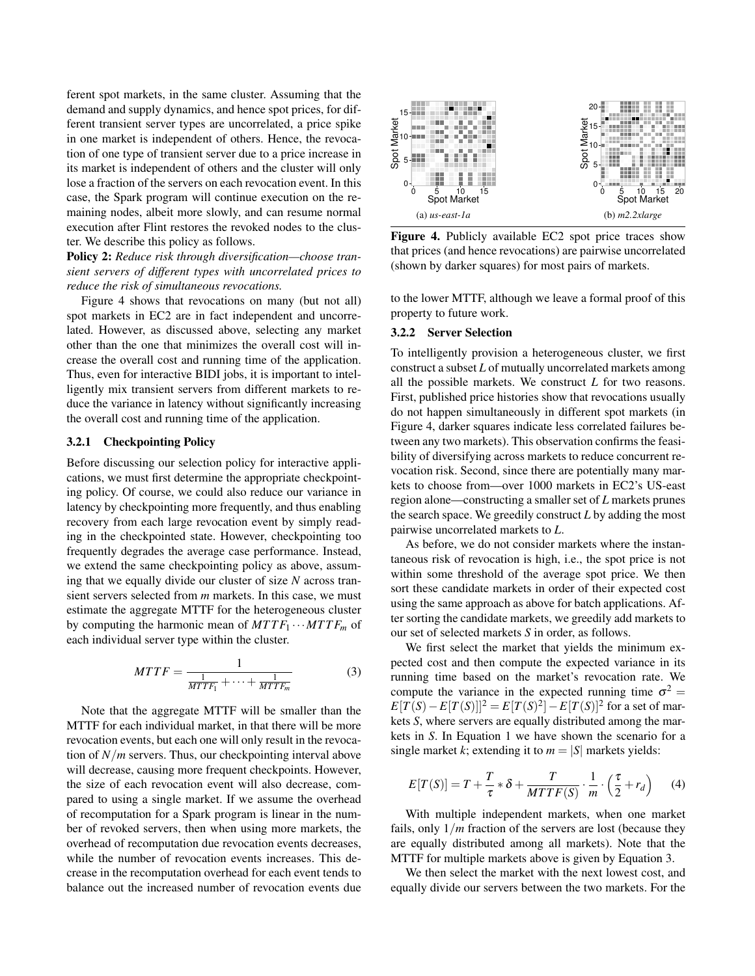ferent spot markets, in the same cluster. Assuming that the demand and supply dynamics, and hence spot prices, for different transient server types are uncorrelated, a price spike in one market is independent of others. Hence, the revocation of one type of transient server due to a price increase in its market is independent of others and the cluster will only lose a fraction of the servers on each revocation event. In this case, the Spark program will continue execution on the remaining nodes, albeit more slowly, and can resume normal execution after Flint restores the revoked nodes to the cluster. We describe this policy as follows.

Policy 2: *Reduce risk through diversification—choose transient servers of different types with uncorrelated prices to reduce the risk of simultaneous revocations.*

Figure [4](#page-6-0) shows that revocations on many (but not all) spot markets in EC2 are in fact independent and uncorrelated. However, as discussed above, selecting any market other than the one that minimizes the overall cost will increase the overall cost and running time of the application. Thus, even for interactive BIDI jobs, it is important to intelligently mix transient servers from different markets to reduce the variance in latency without significantly increasing the overall cost and running time of the application.

#### 3.2.1 Checkpointing Policy

Before discussing our selection policy for interactive applications, we must first determine the appropriate checkpointing policy. Of course, we could also reduce our variance in latency by checkpointing more frequently, and thus enabling recovery from each large revocation event by simply reading in the checkpointed state. However, checkpointing too frequently degrades the average case performance. Instead, we extend the same checkpointing policy as above, assuming that we equally divide our cluster of size *N* across transient servers selected from *m* markets. In this case, we must estimate the aggregate MTTF for the heterogeneous cluster by computing the harmonic mean of  $MTTF_1 \cdots MTTF_m$  of each individual server type within the cluster.

<span id="page-6-1"></span>
$$
MTTF = \frac{1}{\frac{1}{MTTF_1} + \dots + \frac{1}{MTTF_m}}
$$
(3)

Note that the aggregate MTTF will be smaller than the MTTF for each individual market, in that there will be more revocation events, but each one will only result in the revocation of *N/m* servers. Thus, our checkpointing interval above will decrease, causing more frequent checkpoints. However, the size of each revocation event will also decrease, compared to using a single market. If we assume the overhead of recomputation for a Spark program is linear in the number of revoked servers, then when using more markets, the overhead of recomputation due revocation events decreases, while the number of revocation events increases. This decrease in the recomputation overhead for each event tends to balance out the increased number of revocation events due



<span id="page-6-0"></span>Figure 4. Publicly available EC2 spot price traces show that prices (and hence revocations) are pairwise uncorrelated (shown by darker squares) for most pairs of markets.

to the lower MTTF, although we leave a formal proof of this property to future work.

# 3.2.2 Server Selection

To intelligently provision a heterogeneous cluster, we first construct a subset *L* of mutually uncorrelated markets among all the possible markets. We construct *L* for two reasons. First, published price histories show that revocations usually do not happen simultaneously in different spot markets (in Figure [4,](#page-6-0) darker squares indicate less correlated failures between any two markets). This observation confirms the feasibility of diversifying across markets to reduce concurrent revocation risk. Second, since there are potentially many markets to choose from—over 1000 markets in EC2's US-east region alone—constructing a smaller set of *L* markets prunes the search space. We greedily construct *L* by adding the most pairwise uncorrelated markets to *L*.

As before, we do not consider markets where the instantaneous risk of revocation is high, i.e., the spot price is not within some threshold of the average spot price. We then sort these candidate markets in order of their expected cost using the same approach as above for batch applications. After sorting the candidate markets, we greedily add markets to our set of selected markets *S* in order, as follows.

We first select the market that yields the minimum expected cost and then compute the expected variance in its running time based on the market's revocation rate. We compute the variance in the expected running time  $\sigma^2$  =  $E[T(S) - E[T(S)]^2 = E[T(S)^2] - E[T(S)]^2$  for a set of markets *S*, where servers are equally distributed among the markets in *S*. In Equation [1](#page-5-1) we have shown the scenario for a single market *k*; extending it to  $m = |S|$  markets yields:

$$
E[T(S)] = T + \frac{T}{\tau} * \delta + \frac{T}{MTTF(S)} \cdot \frac{1}{m} \cdot \left(\frac{\tau}{2} + r_d\right) \tag{4}
$$

With multiple independent markets, when one market fails, only 1*/m* fraction of the servers are lost (because they are equally distributed among all markets). Note that the MTTF for multiple markets above is given by Equation [3.](#page-6-1)

We then select the market with the next lowest cost, and equally divide our servers between the two markets. For the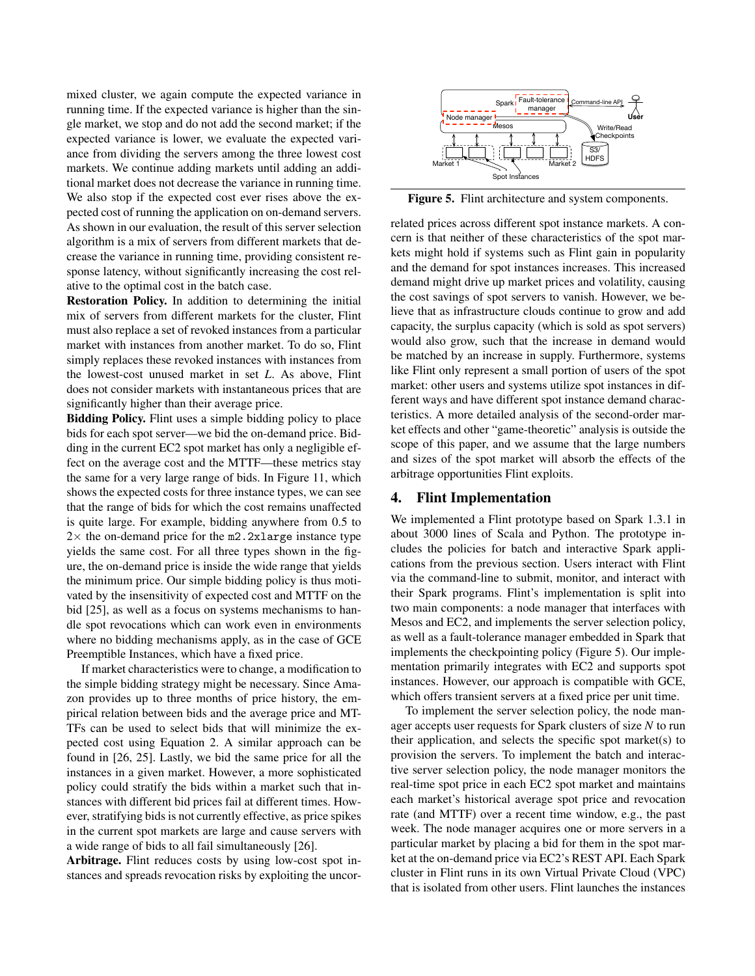mixed cluster, we again compute the expected variance in running time. If the expected variance is higher than the single market, we stop and do not add the second market; if the expected variance is lower, we evaluate the expected variance from dividing the servers among the three lowest cost markets. We continue adding markets until adding an additional market does not decrease the variance in running time. We also stop if the expected cost ever rises above the expected cost of running the application on on-demand servers. As shown in our evaluation, the result of this server selection algorithm is a mix of servers from different markets that decrease the variance in running time, providing consistent response latency, without significantly increasing the cost relative to the optimal cost in the batch case.

Restoration Policy. In addition to determining the initial mix of servers from different markets for the cluster, Flint must also replace a set of revoked instances from a particular market with instances from another market. To do so, Flint simply replaces these revoked instances with instances from the lowest-cost unused market in set *L*. As above, Flint does not consider markets with instantaneous prices that are significantly higher than their average price.

Bidding Policy. Flint uses a simple bidding policy to place bids for each spot server—we bid the on-demand price. Bidding in the current EC2 spot market has only a negligible effect on the average cost and the MTTF—these metrics stay the same for a very large range of bids. In Figure [11,](#page-12-0) which shows the expected costs for three instance types, we can see that the range of bids for which the cost remains unaffected is quite large. For example, bidding anywhere from 0.5 to  $2 \times$  the on-demand price for the m2.2xlarge instance type yields the same cost. For all three types shown in the figure, the on-demand price is inside the wide range that yields the minimum price. Our simple bidding policy is thus motivated by the insensitivity of expected cost and MTTF on the bid [\[25\]](#page-14-17), as well as a focus on systems mechanisms to handle spot revocations which can work even in environments where no bidding mechanisms apply, as in the case of GCE Preemptible Instances, which have a fixed price.

If market characteristics were to change, a modification to the simple bidding strategy might be necessary. Since Amazon provides up to three months of price history, the empirical relation between bids and the average price and MT-TFs can be used to select bids that will minimize the expected cost using Equation [2.](#page-5-2) A similar approach can be found in [\[26,](#page-14-1) [25\]](#page-14-17). Lastly, we bid the same price for all the instances in a given market. However, a more sophisticated policy could stratify the bids within a market such that instances with different bid prices fail at different times. However, stratifying bids is not currently effective, as price spikes in the current spot markets are large and cause servers with a wide range of bids to all fail simultaneously [\[26\]](#page-14-1).

Arbitrage. Flint reduces costs by using low-cost spot instances and spreads revocation risks by exploiting the uncor-



<span id="page-7-0"></span>Figure 5. Flint architecture and system components.

related prices across different spot instance markets. A concern is that neither of these characteristics of the spot markets might hold if systems such as Flint gain in popularity and the demand for spot instances increases. This increased demand might drive up market prices and volatility, causing the cost savings of spot servers to vanish. However, we believe that as infrastructure clouds continue to grow and add capacity, the surplus capacity (which is sold as spot servers) would also grow, such that the increase in demand would be matched by an increase in supply. Furthermore, systems like Flint only represent a small portion of users of the spot market: other users and systems utilize spot instances in different ways and have different spot instance demand characteristics. A more detailed analysis of the second-order market effects and other "game-theoretic" analysis is outside the scope of this paper, and we assume that the large numbers and sizes of the spot market will absorb the effects of the arbitrage opportunities Flint exploits.

# 4. Flint Implementation

We implemented a Flint prototype based on Spark 1.3.1 in about 3000 lines of Scala and Python. The prototype includes the policies for batch and interactive Spark applications from the previous section. Users interact with Flint via the command-line to submit, monitor, and interact with their Spark programs. Flint's implementation is split into two main components: a node manager that interfaces with Mesos and EC2, and implements the server selection policy, as well as a fault-tolerance manager embedded in Spark that implements the checkpointing policy (Figure [5\)](#page-7-0). Our implementation primarily integrates with EC2 and supports spot instances. However, our approach is compatible with GCE, which offers transient servers at a fixed price per unit time.

To implement the server selection policy, the node manager accepts user requests for Spark clusters of size *N* to run their application, and selects the specific spot market(s) to provision the servers. To implement the batch and interactive server selection policy, the node manager monitors the real-time spot price in each EC2 spot market and maintains each market's historical average spot price and revocation rate (and MTTF) over a recent time window, e.g., the past week. The node manager acquires one or more servers in a particular market by placing a bid for them in the spot market at the on-demand price via EC2's REST API. Each Spark cluster in Flint runs in its own Virtual Private Cloud (VPC) that is isolated from other users. Flint launches the instances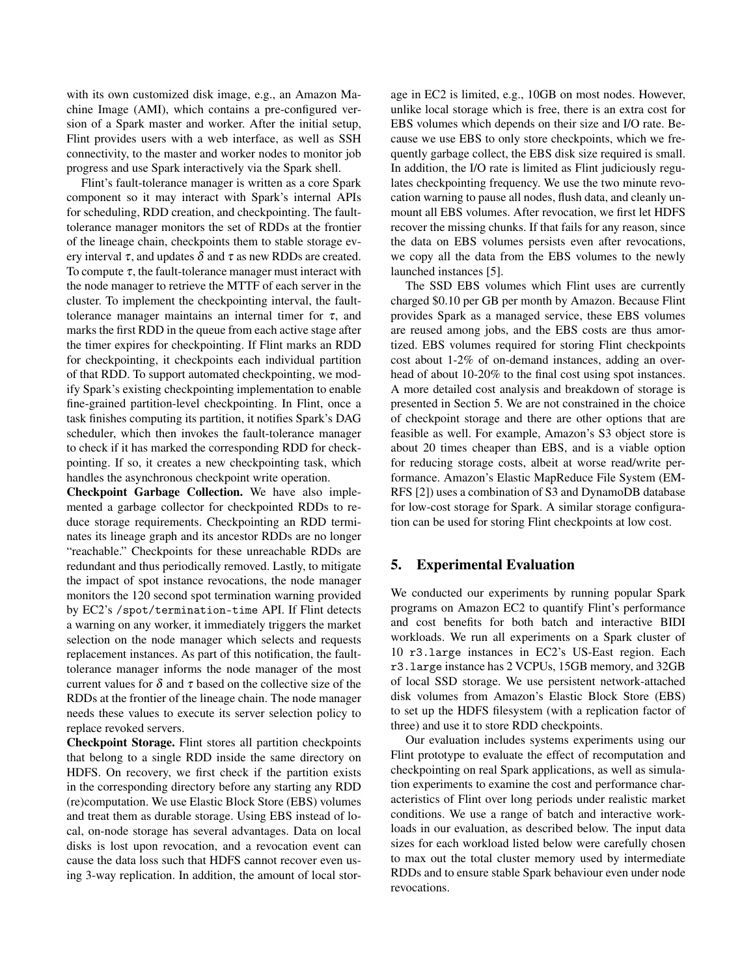with its own customized disk image, e.g., an Amazon Machine Image (AMI), which contains a pre-configured version of a Spark master and worker. After the initial setup, Flint provides users with a web interface, as well as SSH connectivity, to the master and worker nodes to monitor job progress and use Spark interactively via the Spark shell.

Flint's fault-tolerance manager is written as a core Spark component so it may interact with Spark's internal APIs for scheduling, RDD creation, and checkpointing. The faulttolerance manager monitors the set of RDDs at the frontier of the lineage chain, checkpoints them to stable storage every interval  $\tau$ , and updates  $\delta$  and  $\tau$  as new RDDs are created. To compute  $\tau$ , the fault-tolerance manager must interact with the node manager to retrieve the MTTF of each server in the cluster. To implement the checkpointing interval, the faulttolerance manager maintains an internal timer for  $\tau$ , and marks the first RDD in the queue from each active stage after the timer expires for checkpointing. If Flint marks an RDD for checkpointing, it checkpoints each individual partition of that RDD. To support automated checkpointing, we modify Spark's existing checkpointing implementation to enable fine-grained partition-level checkpointing. In Flint, once a task finishes computing its partition, it notifies Spark's DAG scheduler, which then invokes the fault-tolerance manager to check if it has marked the corresponding RDD for checkpointing. If so, it creates a new checkpointing task, which handles the asynchronous checkpoint write operation.

Checkpoint Garbage Collection. We have also implemented a garbage collector for checkpointed RDDs to reduce storage requirements. Checkpointing an RDD terminates its lineage graph and its ancestor RDDs are no longer "reachable." Checkpoints for these unreachable RDDs are redundant and thus periodically removed. Lastly, to mitigate the impact of spot instance revocations, the node manager monitors the 120 second spot termination warning provided by EC2's /spot/termination-time API. If Flint detects a warning on any worker, it immediately triggers the market selection on the node manager which selects and requests replacement instances. As part of this notification, the faulttolerance manager informs the node manager of the most current values for  $\delta$  and  $\tau$  based on the collective size of the RDDs at the frontier of the lineage chain. The node manager needs these values to execute its server selection policy to replace revoked servers.

Checkpoint Storage. Flint stores all partition checkpoints that belong to a single RDD inside the same directory on HDFS. On recovery, we first check if the partition exists in the corresponding directory before any starting any RDD (re)computation. We use Elastic Block Store (EBS) volumes and treat them as durable storage. Using EBS instead of local, on-node storage has several advantages. Data on local disks is lost upon revocation, and a revocation event can cause the data loss such that HDFS cannot recover even using 3-way replication. In addition, the amount of local storage in EC2 is limited, e.g., 10GB on most nodes. However, unlike local storage which is free, there is an extra cost for EBS volumes which depends on their size and I/O rate. Because we use EBS to only store checkpoints, which we frequently garbage collect, the EBS disk size required is small. In addition, the I/O rate is limited as Flint judiciously regulates checkpointing frequency. We use the two minute revocation warning to pause all nodes, flush data, and cleanly unmount all EBS volumes. After revocation, we first let HDFS recover the missing chunks. If that fails for any reason, since the data on EBS volumes persists even after revocations, we copy all the data from the EBS volumes to the newly launched instances [\[5\]](#page-13-2).

The SSD EBS volumes which Flint uses are currently charged \$0.10 per GB per month by Amazon. Because Flint provides Spark as a managed service, these EBS volumes are reused among jobs, and the EBS costs are thus amortized. EBS volumes required for storing Flint checkpoints cost about 1-2% of on-demand instances, adding an overhead of about 10-20% to the final cost using spot instances. A more detailed cost analysis and breakdown of storage is presented in Section [5.](#page-8-0) We are not constrained in the choice of checkpoint storage and there are other options that are feasible as well. For example, Amazon's S3 object store is about 20 times cheaper than EBS, and is a viable option for reducing storage costs, albeit at worse read/write performance. Amazon's Elastic MapReduce File System (EM-RFS [\[2\]](#page-13-1)) uses a combination of S3 and DynamoDB database for low-cost storage for Spark. A similar storage configuration can be used for storing Flint checkpoints at low cost.

# <span id="page-8-0"></span>5. Experimental Evaluation

We conducted our experiments by running popular Spark programs on Amazon EC2 to quantify Flint's performance and cost benefits for both batch and interactive BIDI workloads. We run all experiments on a Spark cluster of 10 r3.large instances in EC2's US-East region. Each r3.large instance has 2 VCPUs, 15GB memory, and 32GB of local SSD storage. We use persistent network-attached disk volumes from Amazon's Elastic Block Store (EBS) to set up the HDFS filesystem (with a replication factor of three) and use it to store RDD checkpoints.

Our evaluation includes systems experiments using our Flint prototype to evaluate the effect of recomputation and checkpointing on real Spark applications, as well as simulation experiments to examine the cost and performance characteristics of Flint over long periods under realistic market conditions. We use a range of batch and interactive workloads in our evaluation, as described below. The input data sizes for each workload listed below were carefully chosen to max out the total cluster memory used by intermediate RDDs and to ensure stable Spark behaviour even under node revocations.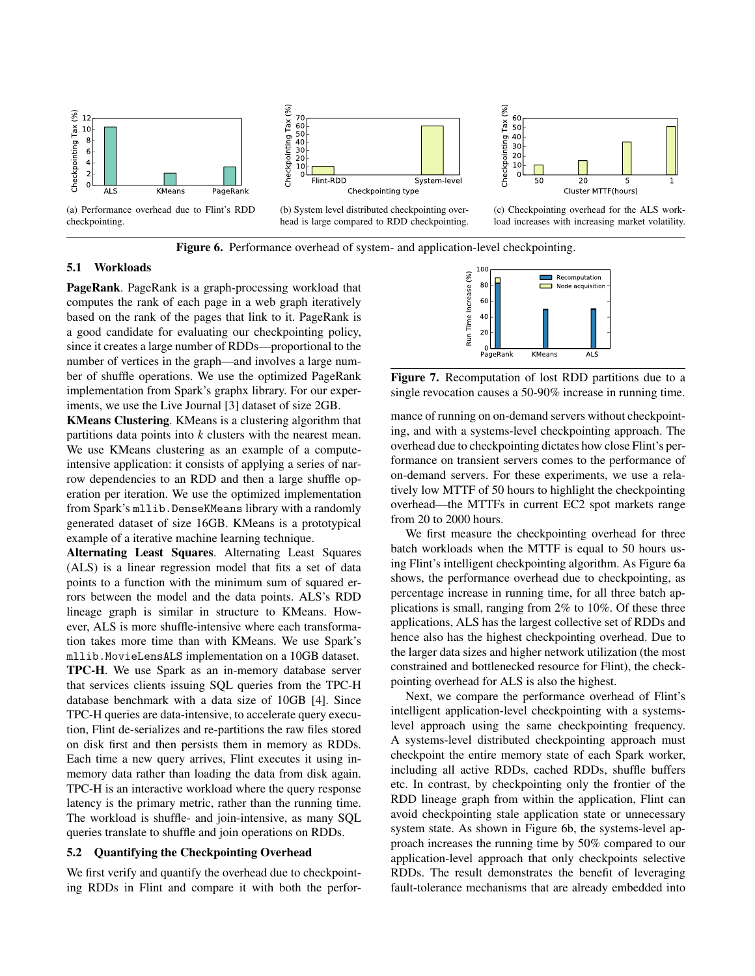<span id="page-9-0"></span>

<span id="page-9-1"></span>Figure 6. Performance overhead of system- and application-level checkpointing.

## 5.1 Workloads

PageRank. PageRank is a graph-processing workload that computes the rank of each page in a web graph iteratively based on the rank of the pages that link to it. PageRank is a good candidate for evaluating our checkpointing policy, since it creates a large number of RDDs—proportional to the number of vertices in the graph—and involves a large number of shuffle operations. We use the optimized PageRank implementation from Spark's graphx library. For our experiments, we use the Live Journal [\[3\]](#page-13-3) dataset of size 2GB.

KMeans Clustering. KMeans is a clustering algorithm that partitions data points into *k* clusters with the nearest mean. We use KMeans clustering as an example of a computeintensive application: it consists of applying a series of narrow dependencies to an RDD and then a large shuffle operation per iteration. We use the optimized implementation from Spark's mllib.DenseKMeans library with a randomly generated dataset of size 16GB. KMeans is a prototypical example of a iterative machine learning technique.

Alternating Least Squares. Alternating Least Squares (ALS) is a linear regression model that fits a set of data points to a function with the minimum sum of squared errors between the model and the data points. ALS's RDD lineage graph is similar in structure to KMeans. However, ALS is more shuffle-intensive where each transformation takes more time than with KMeans. We use Spark's mllib.MovieLensALS implementation on a 10GB dataset. TPC-H. We use Spark as an in-memory database server that services clients issuing SQL queries from the TPC-H database benchmark with a data size of 10GB [\[4\]](#page-13-4). Since TPC-H queries are data-intensive, to accelerate query execution, Flint de-serializes and re-partitions the raw files stored on disk first and then persists them in memory as RDDs. Each time a new query arrives, Flint executes it using inmemory data rather than loading the data from disk again. TPC-H is an interactive workload where the query response latency is the primary metric, rather than the running time. The workload is shuffle- and join-intensive, as many SQL queries translate to shuffle and join operations on RDDs.

# 5.2 Quantifying the Checkpointing Overhead

We first verify and quantify the overhead due to checkpointing RDDs in Flint and compare it with both the perfor-

<span id="page-9-2"></span>

<span id="page-9-3"></span>Figure 7. Recomputation of lost RDD partitions due to a single revocation causes a 50-90% increase in running time.

mance of running on on-demand servers without checkpointing, and with a systems-level checkpointing approach. The overhead due to checkpointing dictates how close Flint's performance on transient servers comes to the performance of on-demand servers. For these experiments, we use a relatively low MTTF of 50 hours to highlight the checkpointing overhead—the MTTFs in current EC2 spot markets range from 20 to 2000 hours.

We first measure the checkpointing overhead for three batch workloads when the MTTF is equal to 50 hours using Flint's intelligent checkpointing algorithm. As Figure [6a](#page-9-0) shows, the performance overhead due to checkpointing, as percentage increase in running time, for all three batch applications is small, ranging from 2% to 10%. Of these three applications, ALS has the largest collective set of RDDs and hence also has the highest checkpointing overhead. Due to the larger data sizes and higher network utilization (the most constrained and bottlenecked resource for Flint), the checkpointing overhead for ALS is also the highest.

Next, we compare the performance overhead of Flint's intelligent application-level checkpointing with a systemslevel approach using the same checkpointing frequency. A systems-level distributed checkpointing approach must checkpoint the entire memory state of each Spark worker, including all active RDDs, cached RDDs, shuffle buffers etc. In contrast, by checkpointing only the frontier of the RDD lineage graph from within the application, Flint can avoid checkpointing stale application state or unnecessary system state. As shown in Figure [6b,](#page-9-1) the systems-level approach increases the running time by 50% compared to our application-level approach that only checkpoints selective RDDs. The result demonstrates the benefit of leveraging fault-tolerance mechanisms that are already embedded into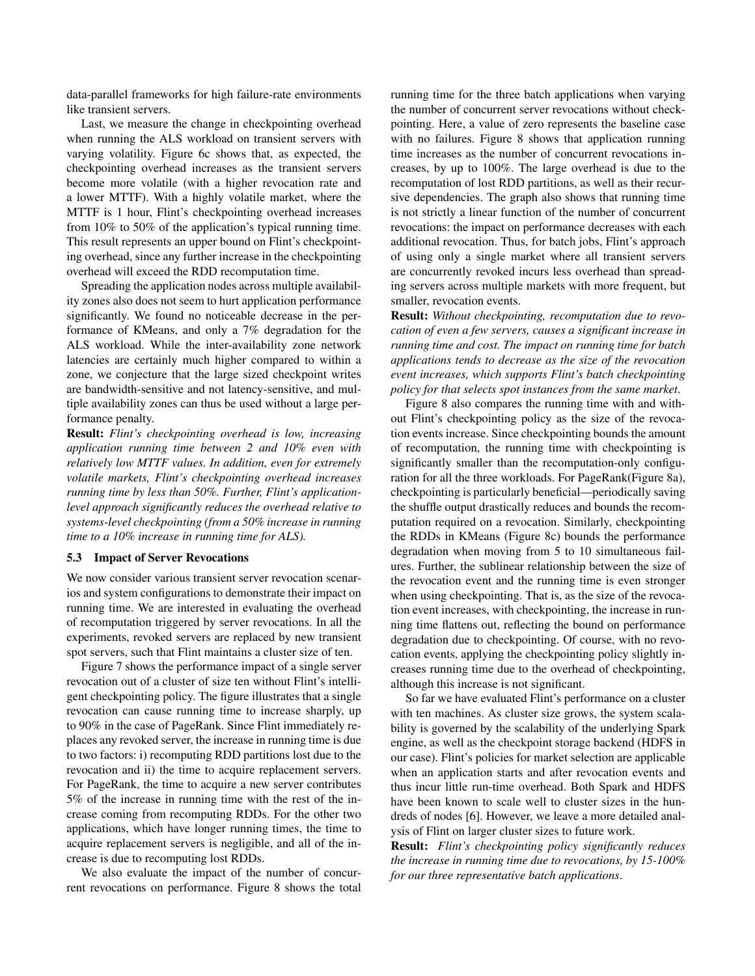data-parallel frameworks for high failure-rate environments like transient servers.

Last, we measure the change in checkpointing overhead when running the ALS workload on transient servers with varying volatility. Figure [6c](#page-9-2) shows that, as expected, the checkpointing overhead increases as the transient servers become more volatile (with a higher revocation rate and a lower MTTF). With a highly volatile market, where the MTTF is 1 hour, Flint's checkpointing overhead increases from 10% to 50% of the application's typical running time. This result represents an upper bound on Flint's checkpointing overhead, since any further increase in the checkpointing overhead will exceed the RDD recomputation time.

Spreading the application nodes across multiple availability zones also does not seem to hurt application performance significantly. We found no noticeable decrease in the performance of KMeans, and only a 7% degradation for the ALS workload. While the inter-availability zone network latencies are certainly much higher compared to within a zone, we conjecture that the large sized checkpoint writes are bandwidth-sensitive and not latency-sensitive, and multiple availability zones can thus be used without a large performance penalty.

Result: *Flint's checkpointing overhead is low, increasing application running time between 2 and 10% even with relatively low MTTF values. In addition, even for extremely volatile markets, Flint's checkpointing overhead increases running time by less than 50%. Further, Flint's applicationlevel approach significantly reduces the overhead relative to systems-level checkpointing (from a 50% increase in running time to a 10% increase in running time for ALS).*

## <span id="page-10-0"></span>5.3 Impact of Server Revocations

We now consider various transient server revocation scenarios and system configurations to demonstrate their impact on running time. We are interested in evaluating the overhead of recomputation triggered by server revocations. In all the experiments, revoked servers are replaced by new transient spot servers, such that Flint maintains a cluster size of ten.

Figure [7](#page-9-3) shows the performance impact of a single server revocation out of a cluster of size ten without Flint's intelligent checkpointing policy. The figure illustrates that a single revocation can cause running time to increase sharply, up to 90% in the case of PageRank. Since Flint immediately replaces any revoked server, the increase in running time is due to two factors: i) recomputing RDD partitions lost due to the revocation and ii) the time to acquire replacement servers. For PageRank, the time to acquire a new server contributes 5% of the increase in running time with the rest of the increase coming from recomputing RDDs. For the other two applications, which have longer running times, the time to acquire replacement servers is negligible, and all of the increase is due to recomputing lost RDDs.

We also evaluate the impact of the number of concurrent revocations on performance. Figure [8](#page-11-0) shows the total running time for the three batch applications when varying the number of concurrent server revocations without checkpointing. Here, a value of zero represents the baseline case with no failures. Figure [8](#page-11-0) shows that application running time increases as the number of concurrent revocations increases, by up to 100%. The large overhead is due to the recomputation of lost RDD partitions, as well as their recursive dependencies. The graph also shows that running time is not strictly a linear function of the number of concurrent revocations: the impact on performance decreases with each additional revocation. Thus, for batch jobs, Flint's approach of using only a single market where all transient servers are concurrently revoked incurs less overhead than spreading servers across multiple markets with more frequent, but smaller, revocation events.

Result: *Without checkpointing, recomputation due to revocation of even a few servers, causes a significant increase in running time and cost. The impact on running time for batch applications tends to decrease as the size of the revocation event increases, which supports Flint's batch checkpointing policy for that selects spot instances from the same market*.

Figure [8](#page-11-0) also compares the running time with and without Flint's checkpointing policy as the size of the revocation events increase. Since checkpointing bounds the amount of recomputation, the running time with checkpointing is significantly smaller than the recomputation-only configuration for all the three workloads. For PageRank(Figure [8a\)](#page-11-1), checkpointing is particularly beneficial—periodically saving the shuffle output drastically reduces and bounds the recomputation required on a revocation. Similarly, checkpointing the RDDs in KMeans (Figure [8c\)](#page-11-2) bounds the performance degradation when moving from 5 to 10 simultaneous failures. Further, the sublinear relationship between the size of the revocation event and the running time is even stronger when using checkpointing. That is, as the size of the revocation event increases, with checkpointing, the increase in running time flattens out, reflecting the bound on performance degradation due to checkpointing. Of course, with no revocation events, applying the checkpointing policy slightly increases running time due to the overhead of checkpointing, although this increase is not significant.

So far we have evaluated Flint's performance on a cluster with ten machines. As cluster size grows, the system scalability is governed by the scalability of the underlying Spark engine, as well as the checkpoint storage backend (HDFS in our case). Flint's policies for market selection are applicable when an application starts and after revocation events and thus incur little run-time overhead. Both Spark and HDFS have been known to scale well to cluster sizes in the hundreds of nodes [\[6\]](#page-13-5). However, we leave a more detailed analysis of Flint on larger cluster sizes to future work.

Result: *Flint's checkpointing policy significantly reduces the increase in running time due to revocations, by 15-100% for our three representative batch applications*.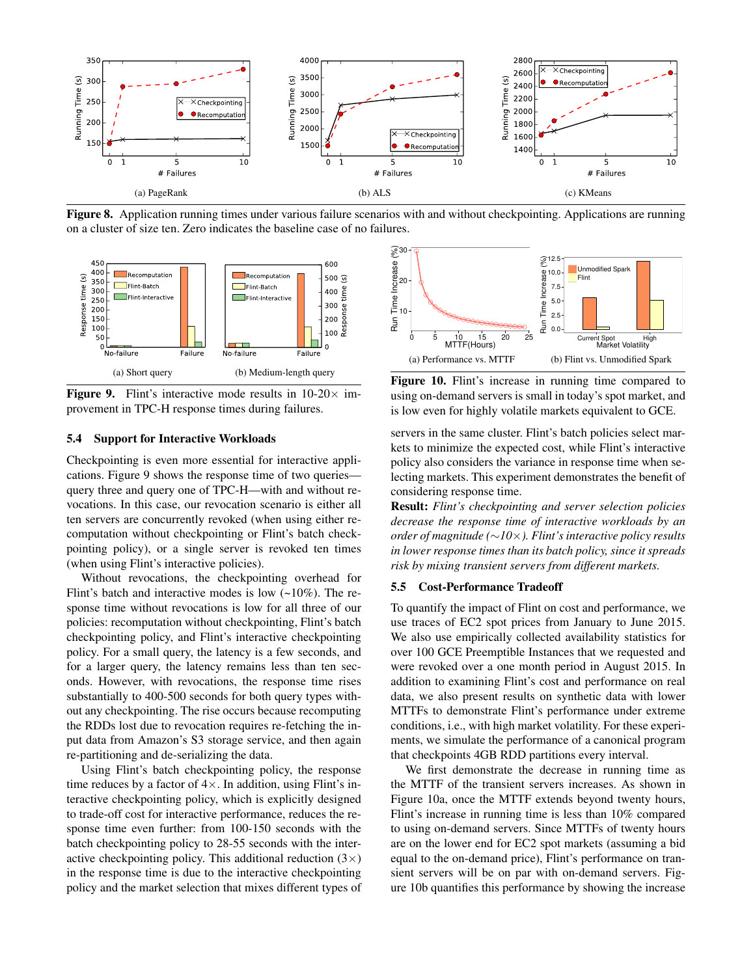<span id="page-11-1"></span>

<span id="page-11-0"></span>Figure 8. Application running times under various failure scenarios with and without checkpointing. Applications are running on a cluster of size ten. Zero indicates the baseline case of no failures.



<span id="page-11-3"></span>**Figure 9.** Flint's interactive mode results in  $10\n-20\times$  improvement in TPC-H response times during failures.

## 5.4 Support for Interactive Workloads

Checkpointing is even more essential for interactive applications. Figure [9](#page-11-3) shows the response time of two queries query three and query one of TPC-H—with and without revocations. In this case, our revocation scenario is either all ten servers are concurrently revoked (when using either recomputation without checkpointing or Flint's batch checkpointing policy), or a single server is revoked ten times (when using Flint's interactive policies).

Without revocations, the checkpointing overhead for Flint's batch and interactive modes is low (~10%). The response time without revocations is low for all three of our policies: recomputation without checkpointing, Flint's batch checkpointing policy, and Flint's interactive checkpointing policy. For a small query, the latency is a few seconds, and for a larger query, the latency remains less than ten seconds. However, with revocations, the response time rises substantially to 400-500 seconds for both query types without any checkpointing. The rise occurs because recomputing the RDDs lost due to revocation requires re-fetching the input data from Amazon's S3 storage service, and then again re-partitioning and de-serializing the data.

Using Flint's batch checkpointing policy, the response time reduces by a factor of  $4 \times$ . In addition, using Flint's interactive checkpointing policy, which is explicitly designed to trade-off cost for interactive performance, reduces the response time even further: from 100-150 seconds with the batch checkpointing policy to 28-55 seconds with the interactive checkpointing policy. This additional reduction  $(3 \times)$ in the response time is due to the interactive checkpointing policy and the market selection that mixes different types of

<span id="page-11-4"></span><span id="page-11-2"></span>

<span id="page-11-5"></span>Figure 10. Flint's increase in running time compared to using on-demand servers is small in today's spot market, and is low even for highly volatile markets equivalent to GCE.

servers in the same cluster. Flint's batch policies select markets to minimize the expected cost, while Flint's interactive policy also considers the variance in response time when selecting markets. This experiment demonstrates the benefit of considering response time.

Result: *Flint's checkpointing and server selection policies decrease the response time of interactive workloads by an order of magnitude (* $\sim$ *10* $\times$ ). Flint's interactive policy results *in lower response times than its batch policy, since it spreads risk by mixing transient servers from different markets.*

## 5.5 Cost-Performance Tradeoff

To quantify the impact of Flint on cost and performance, we use traces of EC2 spot prices from January to June 2015. We also use empirically collected availability statistics for over 100 GCE Preemptible Instances that we requested and were revoked over a one month period in August 2015. In addition to examining Flint's cost and performance on real data, we also present results on synthetic data with lower MTTFs to demonstrate Flint's performance under extreme conditions, i.e., with high market volatility. For these experiments, we simulate the performance of a canonical program that checkpoints 4GB RDD partitions every interval.

We first demonstrate the decrease in running time as the MTTF of the transient servers increases. As shown in Figure [10a,](#page-11-4) once the MTTF extends beyond twenty hours, Flint's increase in running time is less than 10% compared to using on-demand servers. Since MTTFs of twenty hours are on the lower end for EC2 spot markets (assuming a bid equal to the on-demand price), Flint's performance on transient servers will be on par with on-demand servers. Figure [10b](#page-11-5) quantifies this performance by showing the increase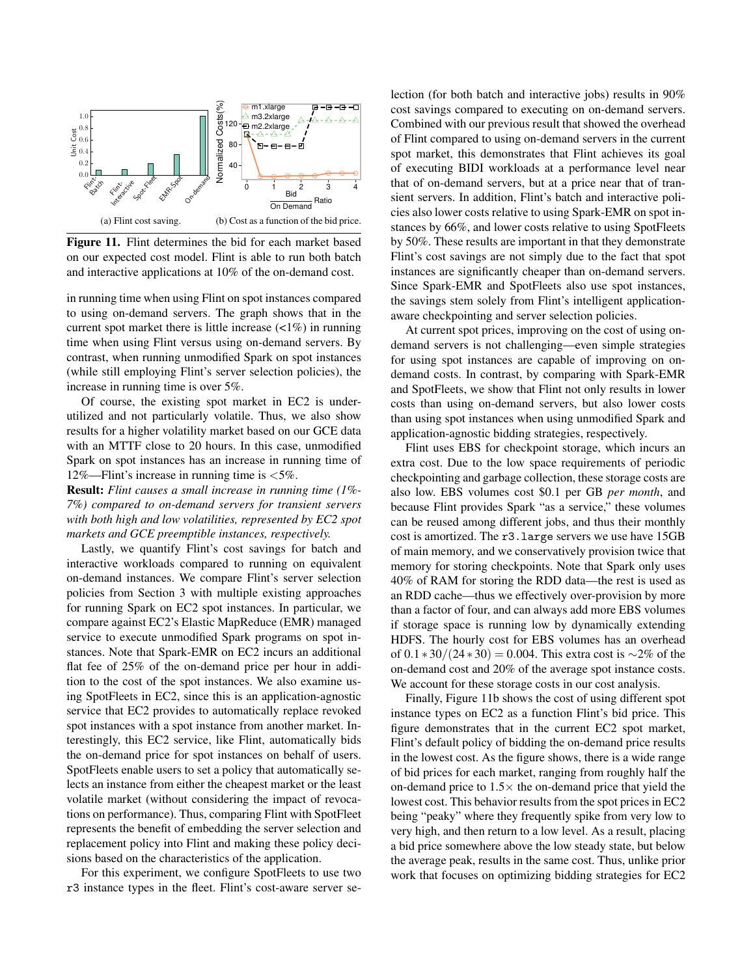

<span id="page-12-1"></span><span id="page-12-0"></span>Figure 11. Flint determines the bid for each market based on our expected cost model. Flint is able to run both batch and interactive applications at 10% of the on-demand cost.

in running time when using Flint on spot instances compared to using on-demand servers. The graph shows that in the current spot market there is little increase  $\left( \langle 1\% \rangle \right)$  in running time when using Flint versus using on-demand servers. By contrast, when running unmodified Spark on spot instances (while still employing Flint's server selection policies), the increase in running time is over 5%.

Of course, the existing spot market in EC2 is underutilized and not particularly volatile. Thus, we also show results for a higher volatility market based on our GCE data with an MTTF close to 20 hours. In this case, unmodified Spark on spot instances has an increase in running time of 12%—Flint's increase in running time is *<*5%.

Result: *Flint causes a small increase in running time (1%- 7%) compared to on-demand servers for transient servers with both high and low volatilities, represented by EC2 spot markets and GCE preemptible instances, respectively.*

Lastly, we quantify Flint's cost savings for batch and interactive workloads compared to running on equivalent on-demand instances. We compare Flint's server selection policies from Section 3 with multiple existing approaches for running Spark on EC2 spot instances. In particular, we compare against EC2's Elastic MapReduce (EMR) managed service to execute unmodified Spark programs on spot instances. Note that Spark-EMR on EC2 incurs an additional flat fee of 25% of the on-demand price per hour in addition to the cost of the spot instances. We also examine using SpotFleets in EC2, since this is an application-agnostic service that EC2 provides to automatically replace revoked spot instances with a spot instance from another market. Interestingly, this EC2 service, like Flint, automatically bids the on-demand price for spot instances on behalf of users. SpotFleets enable users to set a policy that automatically selects an instance from either the cheapest market or the least volatile market (without considering the impact of revocations on performance). Thus, comparing Flint with SpotFleet represents the benefit of embedding the server selection and replacement policy into Flint and making these policy decisions based on the characteristics of the application.

For this experiment, we configure SpotFleets to use two r3 instance types in the fleet. Flint's cost-aware server selection (for both batch and interactive jobs) results in 90% cost savings compared to executing on on-demand servers. Combined with our previous result that showed the overhead of Flint compared to using on-demand servers in the current spot market, this demonstrates that Flint achieves its goal of executing BIDI workloads at a performance level near that of on-demand servers, but at a price near that of transient servers. In addition, Flint's batch and interactive policies also lower costs relative to using Spark-EMR on spot instances by 66%, and lower costs relative to using SpotFleets by 50%. These results are important in that they demonstrate Flint's cost savings are not simply due to the fact that spot instances are significantly cheaper than on-demand servers. Since Spark-EMR and SpotFleets also use spot instances, the savings stem solely from Flint's intelligent applicationaware checkpointing and server selection policies.

At current spot prices, improving on the cost of using ondemand servers is not challenging—even simple strategies for using spot instances are capable of improving on ondemand costs. In contrast, by comparing with Spark-EMR and SpotFleets, we show that Flint not only results in lower costs than using on-demand servers, but also lower costs than using spot instances when using unmodified Spark and application-agnostic bidding strategies, respectively.

Flint uses EBS for checkpoint storage, which incurs an extra cost. Due to the low space requirements of periodic checkpointing and garbage collection, these storage costs are also low. EBS volumes cost \$0.1 per GB *per month*, and because Flint provides Spark "as a service," these volumes can be reused among different jobs, and thus their monthly cost is amortized. The r3.large servers we use have 15GB of main memory, and we conservatively provision twice that memory for storing checkpoints. Note that Spark only uses 40% of RAM for storing the RDD data—the rest is used as an RDD cache—thus we effectively over-provision by more than a factor of four, and can always add more EBS volumes if storage space is running low by dynamically extending HDFS. The hourly cost for EBS volumes has an overhead of  $0.1 * 30/(24 * 30) = 0.004$ . This extra cost is  $\sim 2\%$  of the on-demand cost and 20% of the average spot instance costs. We account for these storage costs in our cost analysis.

Finally, Figure [11b](#page-12-1) shows the cost of using different spot instance types on EC2 as a function Flint's bid price. This figure demonstrates that in the current EC2 spot market, Flint's default policy of bidding the on-demand price results in the lowest cost. As the figure shows, there is a wide range of bid prices for each market, ranging from roughly half the on-demand price to  $1.5 \times$  the on-demand price that yield the lowest cost. This behavior results from the spot prices in EC2 being "peaky" where they frequently spike from very low to very high, and then return to a low level. As a result, placing a bid price somewhere above the low steady state, but below the average peak, results in the same cost. Thus, unlike prior work that focuses on optimizing bidding strategies for EC2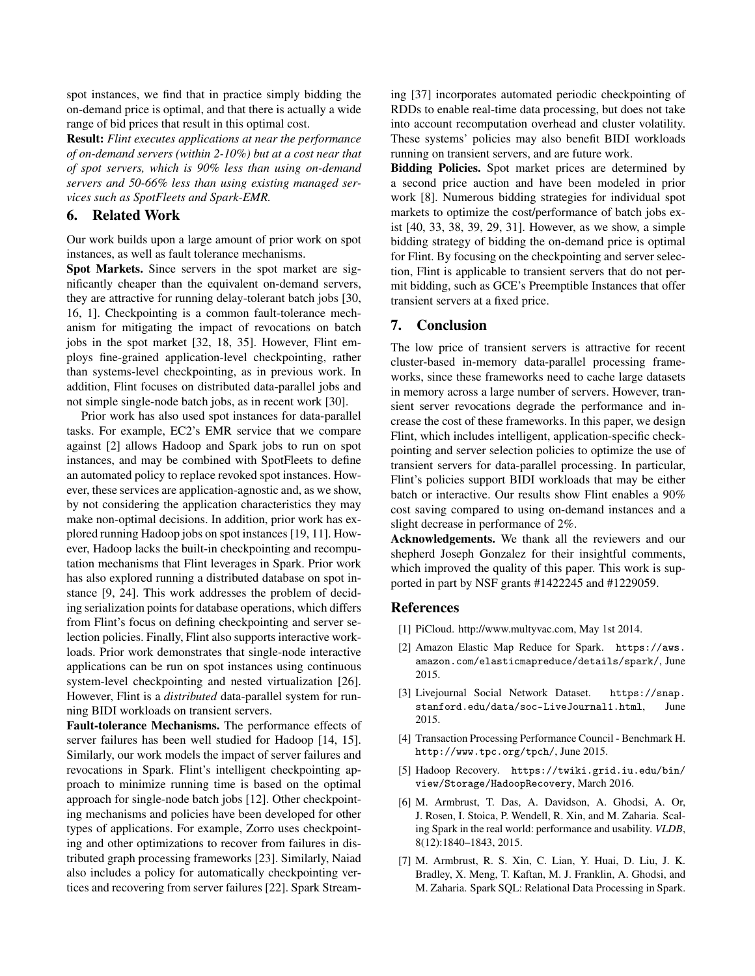spot instances, we find that in practice simply bidding the on-demand price is optimal, and that there is actually a wide range of bid prices that result in this optimal cost.

Result: *Flint executes applications at near the performance of on-demand servers (within 2-10%) but at a cost near that of spot servers, which is 90% less than using on-demand servers and 50-66% less than using existing managed services such as SpotFleets and Spark-EMR.*

# 6. Related Work

Our work builds upon a large amount of prior work on spot instances, as well as fault tolerance mechanisms.

Spot Markets. Since servers in the spot market are significantly cheaper than the equivalent on-demand servers, they are attractive for running delay-tolerant batch jobs [\[30,](#page-14-8) [16,](#page-14-18) [1\]](#page-13-6). Checkpointing is a common fault-tolerance mechanism for mitigating the impact of revocations on batch jobs in the spot market [\[32,](#page-14-19) [18,](#page-14-20) [35\]](#page-14-21). However, Flint employs fine-grained application-level checkpointing, rather than systems-level checkpointing, as in previous work. In addition, Flint focuses on distributed data-parallel jobs and not simple single-node batch jobs, as in recent work [\[30\]](#page-14-8).

Prior work has also used spot instances for data-parallel tasks. For example, EC2's EMR service that we compare against [\[2\]](#page-13-1) allows Hadoop and Spark jobs to run on spot instances, and may be combined with SpotFleets to define an automated policy to replace revoked spot instances. However, these services are application-agnostic and, as we show, by not considering the application characteristics they may make non-optimal decisions. In addition, prior work has explored running Hadoop jobs on spot instances [\[19,](#page-14-4) [11\]](#page-14-3). However, Hadoop lacks the built-in checkpointing and recomputation mechanisms that Flint leverages in Spark. Prior work has also explored running a distributed database on spot instance [\[9,](#page-14-22) [24\]](#page-14-23). This work addresses the problem of deciding serialization points for database operations, which differs from Flint's focus on defining checkpointing and server selection policies. Finally, Flint also supports interactive workloads. Prior work demonstrates that single-node interactive applications can be run on spot instances using continuous system-level checkpointing and nested virtualization [\[26\]](#page-14-1). However, Flint is a *distributed* data-parallel system for running BIDI workloads on transient servers.

Fault-tolerance Mechanisms. The performance effects of server failures has been well studied for Hadoop [\[14,](#page-14-24) [15\]](#page-14-25). Similarly, our work models the impact of server failures and revocations in Spark. Flint's intelligent checkpointing approach to minimize running time is based on the optimal approach for single-node batch jobs [\[12\]](#page-14-15). Other checkpointing mechanisms and policies have been developed for other types of applications. For example, Zorro uses checkpointing and other optimizations to recover from failures in distributed graph processing frameworks [\[23\]](#page-14-26). Similarly, Naiad also includes a policy for automatically checkpointing vertices and recovering from server failures [\[22\]](#page-14-6). Spark Streaming [\[37\]](#page-14-11) incorporates automated periodic checkpointing of RDDs to enable real-time data processing, but does not take into account recomputation overhead and cluster volatility. These systems' policies may also benefit BIDI workloads running on transient servers, and are future work.

Bidding Policies. Spot market prices are determined by a second price auction and have been modeled in prior work [\[8\]](#page-14-10). Numerous bidding strategies for individual spot markets to optimize the cost/performance of batch jobs exist [\[40,](#page-14-27) [33,](#page-14-28) [38,](#page-14-29) [39,](#page-14-30) [29,](#page-14-31) [31\]](#page-14-32). However, as we show, a simple bidding strategy of bidding the on-demand price is optimal for Flint. By focusing on the checkpointing and server selection, Flint is applicable to transient servers that do not permit bidding, such as GCE's Preemptible Instances that offer transient servers at a fixed price.

# 7. Conclusion

The low price of transient servers is attractive for recent cluster-based in-memory data-parallel processing frameworks, since these frameworks need to cache large datasets in memory across a large number of servers. However, transient server revocations degrade the performance and increase the cost of these frameworks. In this paper, we design Flint, which includes intelligent, application-specific checkpointing and server selection policies to optimize the use of transient servers for data-parallel processing. In particular, Flint's policies support BIDI workloads that may be either batch or interactive. Our results show Flint enables a 90% cost saving compared to using on-demand instances and a slight decrease in performance of 2%.

Acknowledgements. We thank all the reviewers and our shepherd Joseph Gonzalez for their insightful comments, which improved the quality of this paper. This work is supported in part by NSF grants #1422245 and #1229059.

# References

- <span id="page-13-6"></span>[1] PiCloud. http://www.multyvac.com, May 1st 2014.
- <span id="page-13-1"></span>[2] Amazon Elastic Map Reduce for Spark. [https://aws.](https://aws.amazon.com/elasticmapreduce/details/spark/) [amazon.com/elasticmapreduce/details/spark/](https://aws.amazon.com/elasticmapreduce/details/spark/), June 2015.
- <span id="page-13-3"></span>[3] Livejournal Social Network Dataset. [https://snap.](https://snap.stanford.edu/data/soc-LiveJournal1.html) [stanford.edu/data/soc-LiveJournal1.html](https://snap.stanford.edu/data/soc-LiveJournal1.html), June 2015.
- <span id="page-13-4"></span>[4] Transaction Processing Performance Council - Benchmark H. <http://www.tpc.org/tpch/>, June 2015.
- <span id="page-13-2"></span>[5] Hadoop Recovery. [https://twiki.grid.iu.edu/bin/](https://twiki.grid.iu.edu/bin/view/Storage/HadoopRecovery) [view/Storage/HadoopRecovery](https://twiki.grid.iu.edu/bin/view/Storage/HadoopRecovery), March 2016.
- <span id="page-13-5"></span>[6] M. Armbrust, T. Das, A. Davidson, A. Ghodsi, A. Or, J. Rosen, I. Stoica, P. Wendell, R. Xin, and M. Zaharia. Scaling Spark in the real world: performance and usability. *VLDB*, 8(12):1840–1843, 2015.
- <span id="page-13-0"></span>[7] M. Armbrust, R. S. Xin, C. Lian, Y. Huai, D. Liu, J. K. Bradley, X. Meng, T. Kaftan, M. J. Franklin, A. Ghodsi, and M. Zaharia. Spark SQL: Relational Data Processing in Spark.